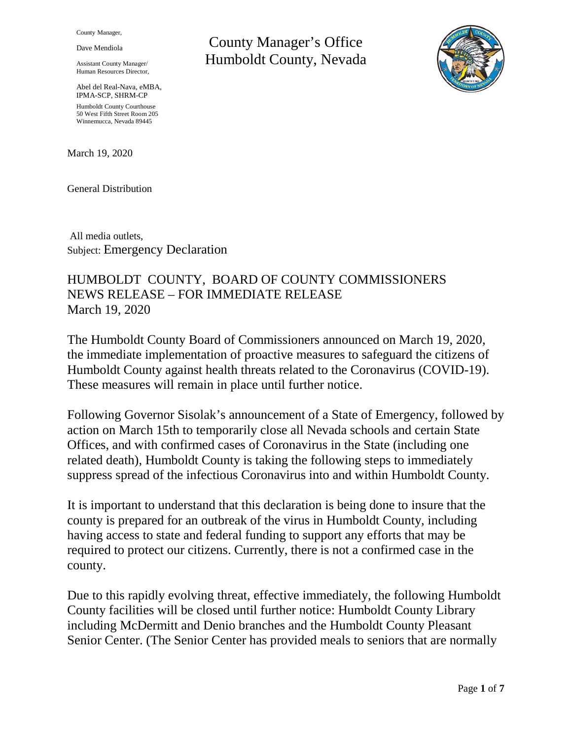County Manager,

Dave Mendiola

Assistant County Manager/ Human Resources Director,

Abel del Real-Nava, eMBA, IPMA-SCP, SHRM-CP Humboldt County Courthouse 50 West Fifth Street Room 205 Winnemucca, Nevada 89445

March 19, 2020

General Distribution

All media outlets, Subject: Emergency Declaration

# HUMBOLDT COUNTY, BOARD OF COUNTY COMMISSIONERS NEWS RELEASE – FOR IMMEDIATE RELEASE March 19, 2020

The Humboldt County Board of Commissioners announced on March 19, 2020, the immediate implementation of proactive measures to safeguard the citizens of Humboldt County against health threats related to the Coronavirus (COVID-19). These measures will remain in place until further notice.

Following Governor Sisolak's announcement of a State of Emergency, followed by action on March 15th to temporarily close all Nevada schools and certain State Offices, and with confirmed cases of Coronavirus in the State (including one related death), Humboldt County is taking the following steps to immediately suppress spread of the infectious Coronavirus into and within Humboldt County.

It is important to understand that this declaration is being done to insure that the county is prepared for an outbreak of the virus in Humboldt County, including having access to state and federal funding to support any efforts that may be required to protect our citizens. Currently, there is not a confirmed case in the county.

Due to this rapidly evolving threat, effective immediately, the following Humboldt County facilities will be closed until further notice: Humboldt County Library including McDermitt and Denio branches and the Humboldt County Pleasant Senior Center. (The Senior Center has provided meals to seniors that are normally

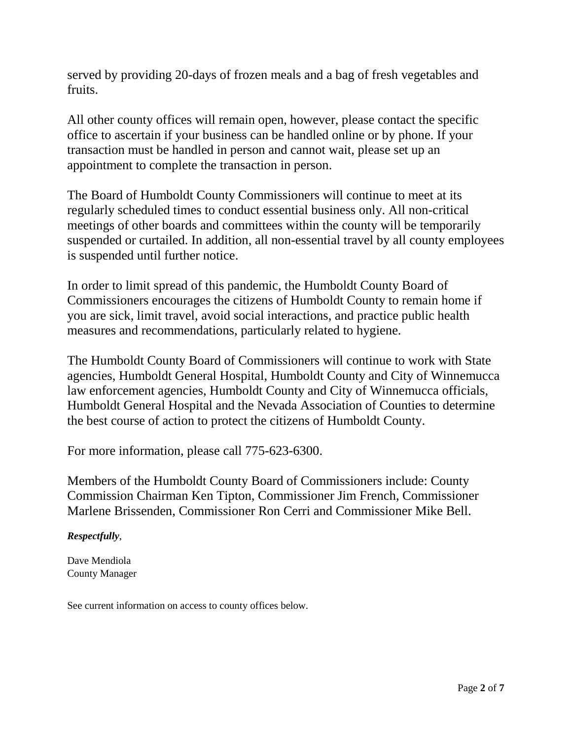served by providing 20-days of frozen meals and a bag of fresh vegetables and fruits.

All other county offices will remain open, however, please contact the specific office to ascertain if your business can be handled online or by phone. If your transaction must be handled in person and cannot wait, please set up an appointment to complete the transaction in person.

The Board of Humboldt County Commissioners will continue to meet at its regularly scheduled times to conduct essential business only. All non-critical meetings of other boards and committees within the county will be temporarily suspended or curtailed. In addition, all non-essential travel by all county employees is suspended until further notice.

In order to limit spread of this pandemic, the Humboldt County Board of Commissioners encourages the citizens of Humboldt County to remain home if you are sick, limit travel, avoid social interactions, and practice public health measures and recommendations, particularly related to hygiene.

The Humboldt County Board of Commissioners will continue to work with State agencies, Humboldt General Hospital, Humboldt County and City of Winnemucca law enforcement agencies, Humboldt County and City of Winnemucca officials, Humboldt General Hospital and the Nevada Association of Counties to determine the best course of action to protect the citizens of Humboldt County.

For more information, please call 775-623-6300.

Members of the Humboldt County Board of Commissioners include: County Commission Chairman Ken Tipton, Commissioner Jim French, Commissioner Marlene Brissenden, Commissioner Ron Cerri and Commissioner Mike Bell.

## *Respectfully*,

Dave Mendiola County Manager

See current information on access to county offices below.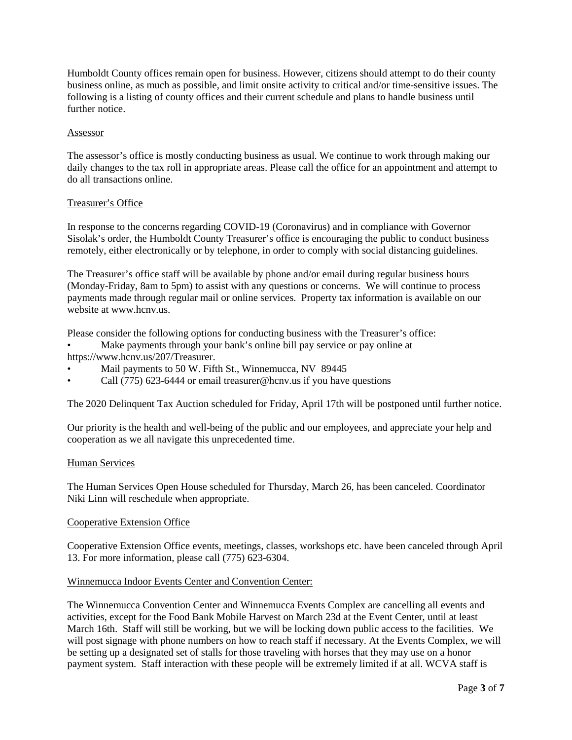Humboldt County offices remain open for business. However, citizens should attempt to do their county business online, as much as possible, and limit onsite activity to critical and/or time-sensitive issues. The following is a listing of county offices and their current schedule and plans to handle business until further notice.

## Assessor

The assessor's office is mostly conducting business as usual. We continue to work through making our daily changes to the tax roll in appropriate areas. Please call the office for an appointment and attempt to do all transactions online.

## Treasurer's Office

In response to the concerns regarding COVID-19 (Coronavirus) and in compliance with Governor Sisolak's order, the Humboldt County Treasurer's office is encouraging the public to conduct business remotely, either electronically or by telephone, in order to comply with social distancing guidelines.

The Treasurer's office staff will be available by phone and/or email during regular business hours (Monday-Friday, 8am to 5pm) to assist with any questions or concerns. We will continue to process payments made through regular mail or online services. Property tax information is available on our website at www.hcnv.us.

Please consider the following options for conducting business with the Treasurer's office:

- Make payments through your bank's online bill pay service or pay online at
- https://www.hcnv.us/207/Treasurer.
- Mail payments to 50 W. Fifth St., Winnemucca, NV 89445
- Call  $(775)$  623-6444 or email treasurer@hcnv.us if you have questions

The 2020 Delinquent Tax Auction scheduled for Friday, April 17th will be postponed until further notice.

Our priority is the health and well-being of the public and our employees, and appreciate your help and cooperation as we all navigate this unprecedented time.

#### Human Services

The Human Services Open House scheduled for Thursday, March 26, has been canceled. Coordinator Niki Linn will reschedule when appropriate.

#### Cooperative Extension Office

Cooperative Extension Office events, meetings, classes, workshops etc. have been canceled through April 13. For more information, please call (775) 623-6304.

## Winnemucca Indoor Events Center and Convention Center:

The Winnemucca Convention Center and Winnemucca Events Complex are cancelling all events and activities, except for the Food Bank Mobile Harvest on March 23d at the Event Center, until at least March 16th. Staff will still be working, but we will be locking down public access to the facilities. We will post signage with phone numbers on how to reach staff if necessary. At the Events Complex, we will be setting up a designated set of stalls for those traveling with horses that they may use on a honor payment system. Staff interaction with these people will be extremely limited if at all. WCVA staff is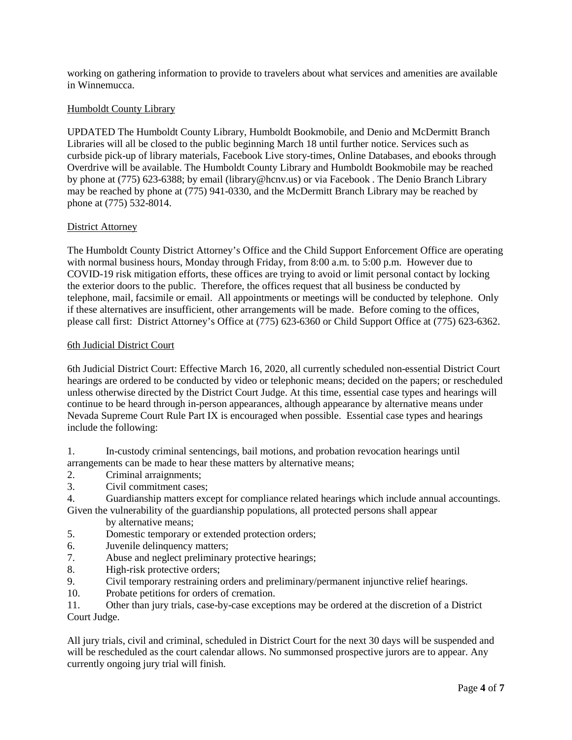working on gathering information to provide to travelers about what services and amenities are available in Winnemucca.

## Humboldt County Library

UPDATED The Humboldt County Library, Humboldt Bookmobile, and Denio and McDermitt Branch Libraries will all be closed to the public beginning March 18 until further notice. Services such as curbside pick-up of library materials, Facebook Live story-times, Online Databases, and ebooks through Overdrive will be available. The Humboldt County Library and Humboldt Bookmobile may be reached by phone at (775) 623-6388; by email (library@hcnv.us) or via Facebook . The Denio Branch Library may be reached by phone at (775) 941-0330, and the McDermitt Branch Library may be reached by phone at (775) 532-8014.

## District Attorney

The Humboldt County District Attorney's Office and the Child Support Enforcement Office are operating with normal business hours, Monday through Friday, from 8:00 a.m. to 5:00 p.m. However due to COVID-19 risk mitigation efforts, these offices are trying to avoid or limit personal contact by locking the exterior doors to the public. Therefore, the offices request that all business be conducted by telephone, mail, facsimile or email. All appointments or meetings will be conducted by telephone. Only if these alternatives are insufficient, other arrangements will be made. Before coming to the offices, please call first: District Attorney's Office at (775) 623-6360 or Child Support Office at (775) 623-6362.

#### 6th Judicial District Court

6th Judicial District Court: Effective March 16, 2020, all currently scheduled non-essential District Court hearings are ordered to be conducted by video or telephonic means; decided on the papers; or rescheduled unless otherwise directed by the District Court Judge. At this time, essential case types and hearings will continue to be heard through in-person appearances, although appearance by alternative means under Nevada Supreme Court Rule Part IX is encouraged when possible. Essential case types and hearings include the following:

1. In-custody criminal sentencings, bail motions, and probation revocation hearings until arrangements can be made to hear these matters by alternative means;

- 2. Criminal arraignments;
- 3. Civil commitment cases;

4. Guardianship matters except for compliance related hearings which include annual accountings. Given the vulnerability of the guardianship populations, all protected persons shall appear

- by alternative means;
- 5. Domestic temporary or extended protection orders;
- 6. Juvenile delinquency matters;
- 7. Abuse and neglect preliminary protective hearings;
- 8. High-risk protective orders;
- 9. Civil temporary restraining orders and preliminary/permanent injunctive relief hearings.
- 10. Probate petitions for orders of cremation.

11. Other than jury trials, case-by-case exceptions may be ordered at the discretion of a District Court Judge.

All jury trials, civil and criminal, scheduled in District Court for the next 30 days will be suspended and will be rescheduled as the court calendar allows. No summonsed prospective jurors are to appear. Any currently ongoing jury trial will finish.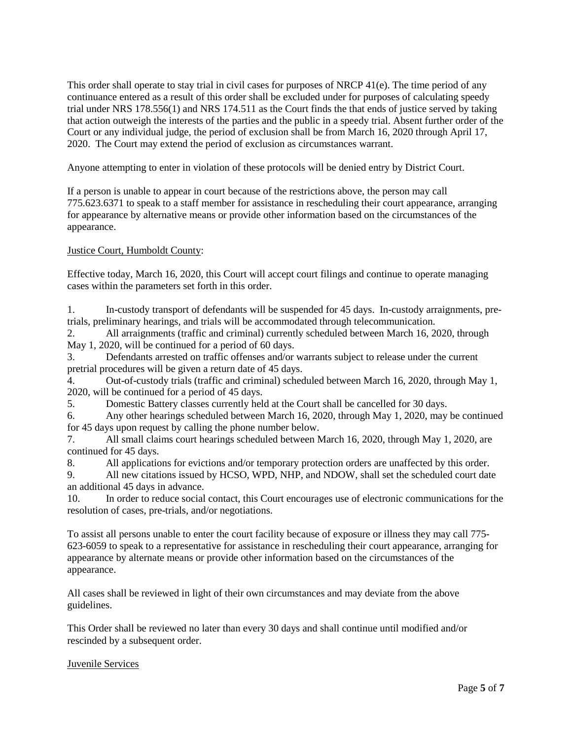This order shall operate to stay trial in civil cases for purposes of NRCP  $41(e)$ . The time period of any continuance entered as a result of this order shall be excluded under for purposes of calculating speedy trial under NRS 178.556(1) and NRS 174.511 as the Court finds the that ends of justice served by taking that action outweigh the interests of the parties and the public in a speedy trial. Absent further order of the Court or any individual judge, the period of exclusion shall be from March 16, 2020 through April 17, 2020. The Court may extend the period of exclusion as circumstances warrant.

Anyone attempting to enter in violation of these protocols will be denied entry by District Court.

If a person is unable to appear in court because of the restrictions above, the person may call 775.623.6371 to speak to a staff member for assistance in rescheduling their court appearance, arranging for appearance by alternative means or provide other information based on the circumstances of the appearance.

## Justice Court, Humboldt County:

Effective today, March 16, 2020, this Court will accept court filings and continue to operate managing cases within the parameters set forth in this order.

1. In-custody transport of defendants will be suspended for 45 days. In-custody arraignments, pretrials, preliminary hearings, and trials will be accommodated through telecommunication.

2. All arraignments (traffic and criminal) currently scheduled between March 16, 2020, through May 1, 2020, will be continued for a period of 60 days.

3. Defendants arrested on traffic offenses and/or warrants subject to release under the current pretrial procedures will be given a return date of 45 days.

4. Out-of-custody trials (traffic and criminal) scheduled between March 16, 2020, through May 1, 2020, will be continued for a period of 45 days.

5. Domestic Battery classes currently held at the Court shall be cancelled for 30 days.

6. Any other hearings scheduled between March 16, 2020, through May 1, 2020, may be continued for 45 days upon request by calling the phone number below.

7. All small claims court hearings scheduled between March 16, 2020, through May 1, 2020, are continued for 45 days.

8. All applications for evictions and/or temporary protection orders are unaffected by this order.

9. All new citations issued by HCSO, WPD, NHP, and NDOW, shall set the scheduled court date an additional 45 days in advance.

10. In order to reduce social contact, this Court encourages use of electronic communications for the resolution of cases, pre-trials, and/or negotiations.

To assist all persons unable to enter the court facility because of exposure or illness they may call 775- 623-6059 to speak to a representative for assistance in rescheduling their court appearance, arranging for appearance by alternate means or provide other information based on the circumstances of the appearance.

All cases shall be reviewed in light of their own circumstances and may deviate from the above guidelines.

This Order shall be reviewed no later than every 30 days and shall continue until modified and/or rescinded by a subsequent order.

## Juvenile Services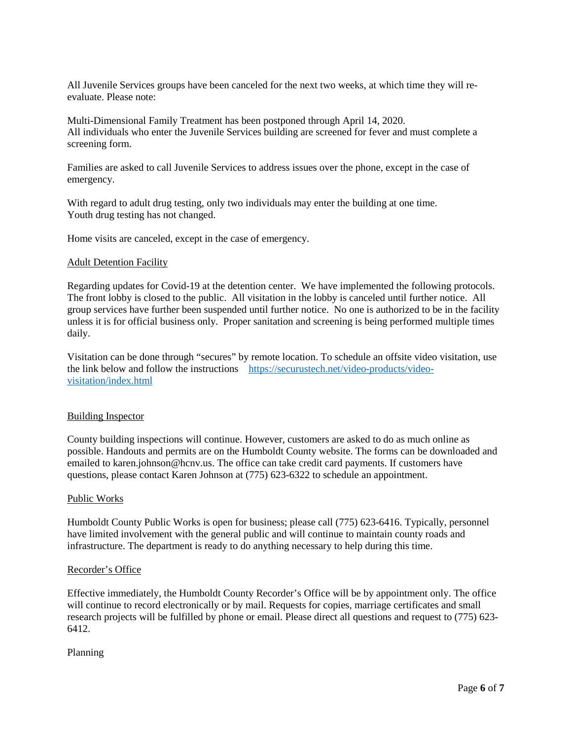All Juvenile Services groups have been canceled for the next two weeks, at which time they will reevaluate. Please note:

Multi-Dimensional Family Treatment has been postponed through April 14, 2020. All individuals who enter the Juvenile Services building are screened for fever and must complete a screening form.

Families are asked to call Juvenile Services to address issues over the phone, except in the case of emergency.

With regard to adult drug testing, only two individuals may enter the building at one time. Youth drug testing has not changed.

Home visits are canceled, except in the case of emergency.

#### **Adult Detention Facility**

Regarding updates for Covid-19 at the detention center. We have implemented the following protocols. The front lobby is closed to the public. All visitation in the lobby is canceled until further notice. All group services have further been suspended until further notice. No one is authorized to be in the facility unless it is for official business only. Proper sanitation and screening is being performed multiple times daily.

Visitation can be done through "secures" by remote location. To schedule an offsite video visitation, use the link below and follow the instructions [https://securustech.net/video-products/video](https://securustech.net/video-products/video-visitation/index.html)[visitation/index.html](https://securustech.net/video-products/video-visitation/index.html)

#### Building Inspector

County building inspections will continue. However, customers are asked to do as much online as possible. Handouts and permits are on the Humboldt County website. The forms can be downloaded and emailed to karen.johnson@hcnv.us. The office can take credit card payments. If customers have questions, please contact Karen Johnson at (775) 623-6322 to schedule an appointment.

#### Public Works

Humboldt County Public Works is open for business; please call (775) 623-6416. Typically, personnel have limited involvement with the general public and will continue to maintain county roads and infrastructure. The department is ready to do anything necessary to help during this time.

#### Recorder's Office

Effective immediately, the Humboldt County Recorder's Office will be by appointment only. The office will continue to record electronically or by mail. Requests for copies, marriage certificates and small research projects will be fulfilled by phone or email. Please direct all questions and request to (775) 623- 6412.

Planning